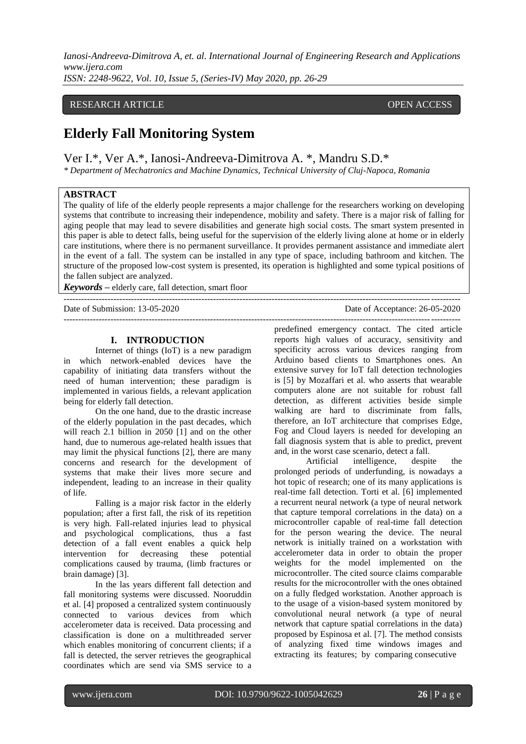RESEARCH ARTICLE **CONSERVERS** OPEN ACCESS

# **Elderly Fall Monitoring System**

Ver I.\*, Ver A.\*, Ianosi-Andreeva-Dimitrova A. \*, Mandru S.D.\*

*\* Department of Mechatronics and Machine Dynamics, Technical University of Cluj-Napoca, Romania*

## **ABSTRACT**

The quality of life of the elderly people represents a major challenge for the researchers working on developing systems that contribute to increasing their independence, mobility and safety. There is a major risk of falling for aging people that may lead to severe disabilities and generate high social costs. The smart system presented in this paper is able to detect falls, being useful for the supervision of the elderly living alone at home or in elderly care institutions, where there is no permanent surveillance. It provides permanent assistance and immediate alert in the event of a fall. The system can be installed in any type of space, including bathroom and kitchen. The structure of the proposed low-cost system is presented, its operation is highlighted and some typical positions of the fallen subject are analyzed.

---------------------------------------------------------------------------------------------------------------------------------------

*Keywords* **–** elderly care, fall detection, smart floor

Date of Submission: 13-05-2020 Date of Acceptance: 26-05-2020

#### **I. INTRODUCTION**

Internet of things (IoT) is a new paradigm in which network-enabled devices have the capability of initiating data transfers without the need of human intervention; these paradigm is implemented in various fields, a relevant application being for elderly fall detection.

On the one hand, due to the drastic increase of the elderly population in the past decades, which will reach 2.1 billion in 2050 [1] and on the other hand, due to numerous age-related health issues that may limit the physical functions [2], there are many concerns and research for the development of systems that make their lives more secure and independent, leading to an increase in their quality of life.

Falling is a major risk factor in the elderly population; after a first fall, the risk of its repetition is very high. Fall-related injuries lead to physical and psychological complications, thus a fast detection of a fall event enables a quick help intervention for decreasing these potential complications caused by trauma, (limb fractures or brain damage) [3].

In the las years different fall detection and fall monitoring systems were discussed. Nooruddin et al. [4] proposed a centralized system continuously connected to various devices from which accelerometer data is received. Data processing and classification is done on a multithreaded server which enables monitoring of concurrent clients; if a fall is detected, the server retrieves the geographical coordinates which are send via SMS service to a

predefined emergency contact. The cited article reports high values of accuracy, sensitivity and specificity across various devices ranging from Arduino based clients to Smartphones ones. An extensive survey for IoT fall detection technologies is [5] by Mozaffari et al. who asserts that wearable computers alone are not suitable for robust fall detection, as different activities beside simple walking are hard to discriminate from falls, therefore, an IoT architecture that comprises Edge, Fog and Cloud layers is needed for developing an fall diagnosis system that is able to predict, prevent and, in the worst case scenario, detect a fall.

---------------------------------------------------------------------------------------------------------------------------------------

Artificial intelligence, despite the prolonged periods of underfunding, is nowadays a hot topic of research; one of its many applications is real-time fall detection. Torti et al. [6] implemented a recurrent neural network (a type of neural network that capture temporal correlations in the data) on a microcontroller capable of real-time fall detection for the person wearing the device. The neural network is initially trained on a workstation with accelerometer data in order to obtain the proper weights for the model implemented on the microcontroller. The cited source claims comparable results for the microcontroller with the ones obtained on a fully fledged workstation. Another approach is to the usage of a vision-based system monitored by convolutional neural network (a type of neural network that capture spatial correlations in the data) proposed by Espinosa et al. [7]. The method consists of analyzing fixed time windows images and extracting its features; by comparing consecutive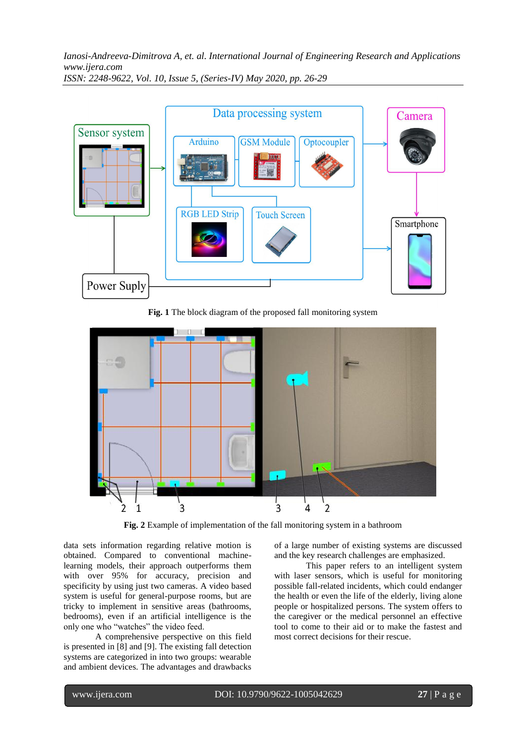

**Fig. 1** The block diagram of the proposed fall monitoring system



**Fig. 2** Example of implementation of the fall monitoring system in a bathroom

data sets information regarding relative motion is obtained. Compared to conventional machinelearning models, their approach outperforms them with over 95% for accuracy, precision and specificity by using just two cameras. A video based system is useful for general-purpose rooms, but are tricky to implement in sensitive areas (bathrooms, bedrooms), even if an artificial intelligence is the only one who "watches" the video feed.

A comprehensive perspective on this field is presented in [8] and [9]. The existing fall detection systems are categorized in into two groups: wearable and ambient devices. The advantages and drawbacks

of a large number of existing systems are discussed and the key research challenges are emphasized.

This paper refers to an intelligent system with laser sensors, which is useful for monitoring possible fall-related incidents, which could endanger the health or even the life of the elderly, living alone people or hospitalized persons. The system offers to the caregiver or the medical personnel an effective tool to come to their aid or to make the fastest and most correct decisions for their rescue.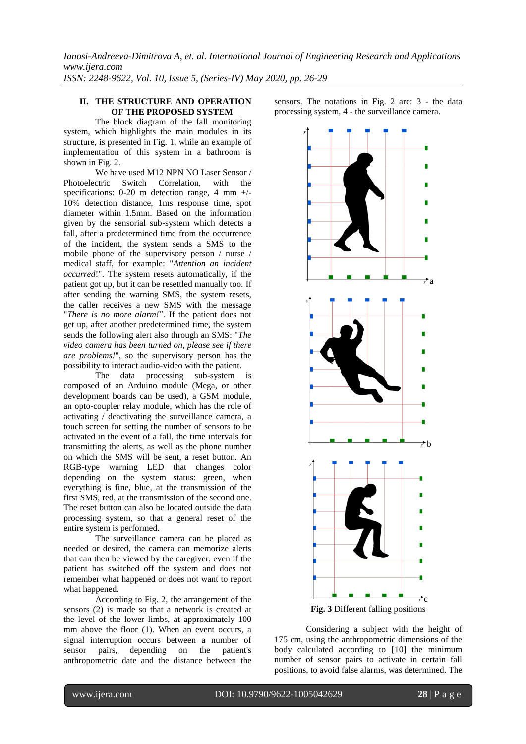#### **II. THE STRUCTURE AND OPERATION OF THE PROPOSED SYSTEM**

The block diagram of the fall monitoring system, which highlights the main modules in its structure, is presented in Fig. 1, while an example of implementation of this system in a bathroom is shown in Fig. 2.

We have used M12 NPN NO Laser Sensor / Photoelectric Switch Correlation, with the specifications: 0-20 m detection range, 4 mm +/- 10% detection distance, 1ms response time, spot diameter within 1.5mm. Based on the information given by the sensorial sub-system which detects a fall, after a predetermined time from the occurrence of the incident, the system sends a SMS to the mobile phone of the supervisory person / nurse / medical staff, for example: "*Attention an incident occurred*!". The system resets automatically, if the patient got up, but it can be resettled manually too. If after sending the warning SMS, the system resets, the caller receives a new SMS with the message "*There is no more alarm!*". If the patient does not get up, after another predetermined time, the system sends the following alert also through an SMS: "*The video camera has been turned on, please see if there are problems!*", so the supervisory person has the possibility to interact audio-video with the patient.

The data processing sub-system is composed of an Arduino module (Mega, or other development boards can be used), a GSM module, an opto-coupler relay module, which has the role of activating / deactivating the surveillance camera, a touch screen for setting the number of sensors to be activated in the event of a fall, the time intervals for transmitting the alerts, as well as the phone number on which the SMS will be sent, a reset button. An RGB-type warning LED that changes color depending on the system status: green, when everything is fine, blue, at the transmission of the first SMS, red, at the transmission of the second one. The reset button can also be located outside the data processing system, so that a general reset of the entire system is performed.

The surveillance camera can be placed as needed or desired, the camera can memorize alerts that can then be viewed by the caregiver, even if the patient has switched off the system and does not remember what happened or does not want to report what happened.

According to Fig. 2, the arrangement of the sensors (2) is made so that a network is created at the level of the lower limbs, at approximately 100 mm above the floor (1). When an event occurs, a signal interruption occurs between a number of sensor pairs, depending on the patient's anthropometric date and the distance between the

sensors. The notations in Fig. 2 are: 3 - the data processing system, 4 - the surveillance camera.



**Fig. 3** Different falling positions

Considering a subject with the height of 175 cm, using the anthropometric dimensions of the body calculated according to [10] the minimum number of sensor pairs to activate in certain fall positions, to avoid false alarms, was determined. The